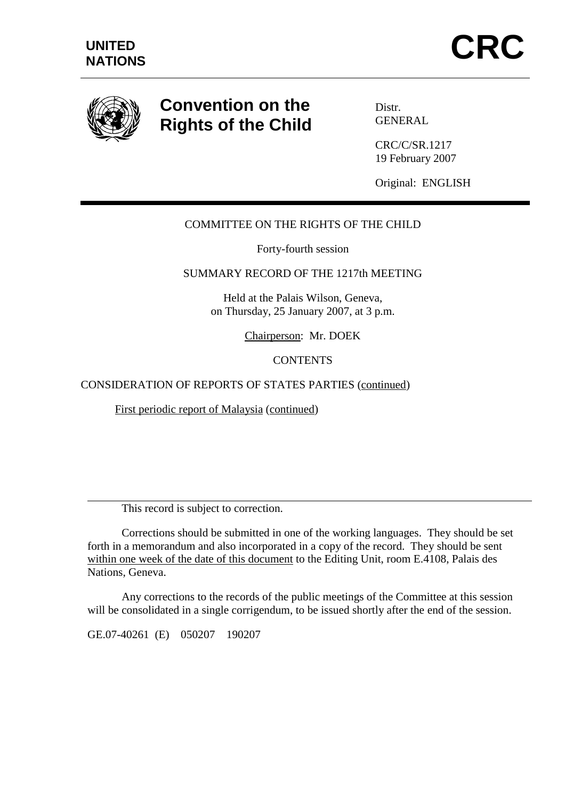

 $\overline{a}$ 

# **Convention on the Rights of the Child**

Distr. GENERAL

CRC/C/SR.1217 19 February 2007

Original: ENGLISH

# COMMITTEE ON THE RIGHTS OF THE CHILD

Forty-fourth session

## SUMMARY RECORD OF THE 1217th MEETING

Held at the Palais Wilson, Geneva, on Thursday, 25 January 2007, at 3 p.m.

Chairperson: Mr. DOEK

**CONTENTS** 

### CONSIDERATION OF REPORTS OF STATES PARTIES (continued)

First periodic report of Malaysia (continued)

This record is subject to correction.

 Corrections should be submitted in one of the working languages. They should be set forth in a memorandum and also incorporated in a copy of the record. They should be sent within one week of the date of this document to the Editing Unit, room E.4108, Palais des Nations, Geneva.

 Any corrections to the records of the public meetings of the Committee at this session will be consolidated in a single corrigendum, to be issued shortly after the end of the session.

GE.07-40261 (E) 050207 190207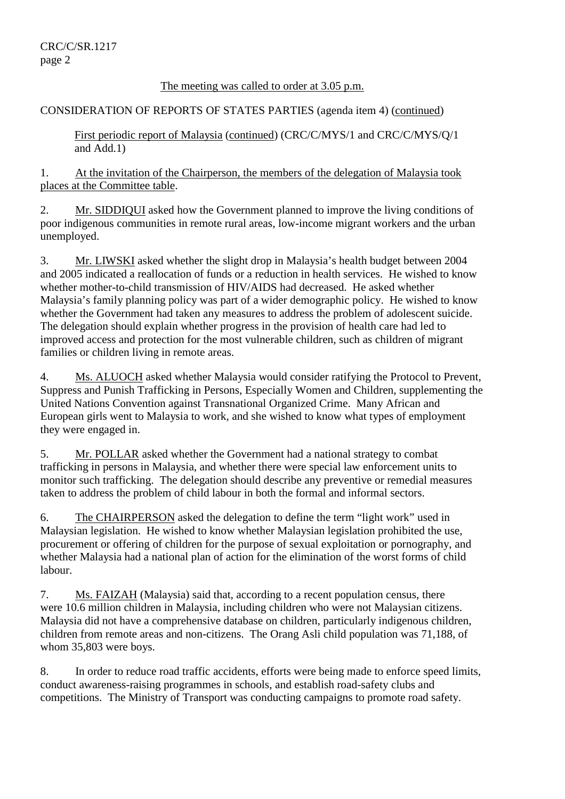#### The meeting was called to order at 3.05 p.m.

#### CONSIDERATION OF REPORTS OF STATES PARTIES (agenda item 4) (continued)

First periodic report of Malaysia (continued) (CRC/C/MYS/1 and CRC/C/MYS/Q/1 and Add.1)

1. At the invitation of the Chairperson, the members of the delegation of Malaysia took places at the Committee table.

2. Mr. SIDDIQUI asked how the Government planned to improve the living conditions of poor indigenous communities in remote rural areas, low-income migrant workers and the urban unemployed.

3. Mr. LIWSKI asked whether the slight drop in Malaysia's health budget between 2004 and 2005 indicated a reallocation of funds or a reduction in health services. He wished to know whether mother-to-child transmission of HIV/AIDS had decreased. He asked whether Malaysia's family planning policy was part of a wider demographic policy. He wished to know whether the Government had taken any measures to address the problem of adolescent suicide. The delegation should explain whether progress in the provision of health care had led to improved access and protection for the most vulnerable children, such as children of migrant families or children living in remote areas.

4. Ms. ALUOCH asked whether Malaysia would consider ratifying the Protocol to Prevent, Suppress and Punish Trafficking in Persons, Especially Women and Children, supplementing the United Nations Convention against Transnational Organized Crime. Many African and European girls went to Malaysia to work, and she wished to know what types of employment they were engaged in.

5. Mr. POLLAR asked whether the Government had a national strategy to combat trafficking in persons in Malaysia, and whether there were special law enforcement units to monitor such trafficking. The delegation should describe any preventive or remedial measures taken to address the problem of child labour in both the formal and informal sectors.

6. The CHAIRPERSON asked the delegation to define the term "light work" used in Malaysian legislation. He wished to know whether Malaysian legislation prohibited the use, procurement or offering of children for the purpose of sexual exploitation or pornography, and whether Malaysia had a national plan of action for the elimination of the worst forms of child labour.

7. Ms. FAIZAH (Malaysia) said that, according to a recent population census, there were 10.6 million children in Malaysia, including children who were not Malaysian citizens. Malaysia did not have a comprehensive database on children, particularly indigenous children, children from remote areas and non-citizens. The Orang Asli child population was 71,188, of whom 35,803 were boys.

8. In order to reduce road traffic accidents, efforts were being made to enforce speed limits, conduct awareness-raising programmes in schools, and establish road-safety clubs and competitions. The Ministry of Transport was conducting campaigns to promote road safety.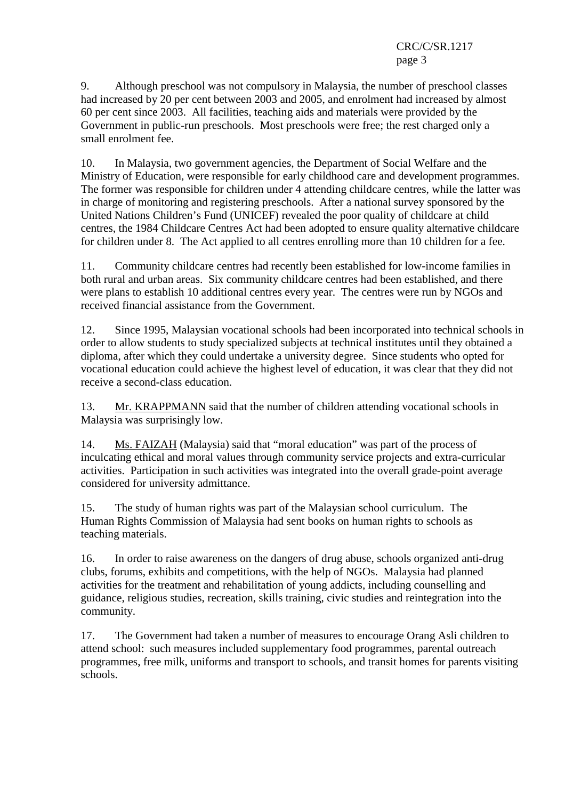9. Although preschool was not compulsory in Malaysia, the number of preschool classes had increased by 20 per cent between 2003 and 2005, and enrolment had increased by almost 60 per cent since 2003. All facilities, teaching aids and materials were provided by the Government in public-run preschools. Most preschools were free; the rest charged only a small enrolment fee.

10. In Malaysia, two government agencies, the Department of Social Welfare and the Ministry of Education, were responsible for early childhood care and development programmes. The former was responsible for children under 4 attending childcare centres, while the latter was in charge of monitoring and registering preschools. After a national survey sponsored by the United Nations Children's Fund (UNICEF) revealed the poor quality of childcare at child centres, the 1984 Childcare Centres Act had been adopted to ensure quality alternative childcare for children under 8. The Act applied to all centres enrolling more than 10 children for a fee.

11. Community childcare centres had recently been established for low-income families in both rural and urban areas. Six community childcare centres had been established, and there were plans to establish 10 additional centres every year. The centres were run by NGOs and received financial assistance from the Government.

12. Since 1995, Malaysian vocational schools had been incorporated into technical schools in order to allow students to study specialized subjects at technical institutes until they obtained a diploma, after which they could undertake a university degree. Since students who opted for vocational education could achieve the highest level of education, it was clear that they did not receive a second-class education.

13. Mr. KRAPPMANN said that the number of children attending vocational schools in Malaysia was surprisingly low.

14. Ms. FAIZAH (Malaysia) said that "moral education" was part of the process of inculcating ethical and moral values through community service projects and extra-curricular activities. Participation in such activities was integrated into the overall grade-point average considered for university admittance.

15. The study of human rights was part of the Malaysian school curriculum. The Human Rights Commission of Malaysia had sent books on human rights to schools as teaching materials.

16. In order to raise awareness on the dangers of drug abuse, schools organized anti-drug clubs, forums, exhibits and competitions, with the help of NGOs. Malaysia had planned activities for the treatment and rehabilitation of young addicts, including counselling and guidance, religious studies, recreation, skills training, civic studies and reintegration into the community.

17. The Government had taken a number of measures to encourage Orang Asli children to attend school: such measures included supplementary food programmes, parental outreach programmes, free milk, uniforms and transport to schools, and transit homes for parents visiting schools.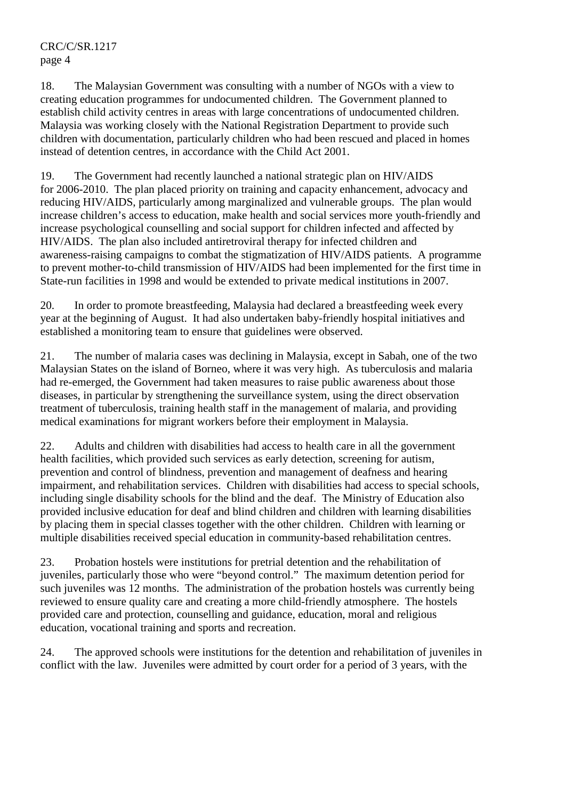18. The Malaysian Government was consulting with a number of NGOs with a view to creating education programmes for undocumented children. The Government planned to establish child activity centres in areas with large concentrations of undocumented children. Malaysia was working closely with the National Registration Department to provide such children with documentation, particularly children who had been rescued and placed in homes instead of detention centres, in accordance with the Child Act 2001.

19. The Government had recently launched a national strategic plan on HIV/AIDS for 2006-2010. The plan placed priority on training and capacity enhancement, advocacy and reducing HIV/AIDS, particularly among marginalized and vulnerable groups. The plan would increase children's access to education, make health and social services more youth-friendly and increase psychological counselling and social support for children infected and affected by HIV/AIDS. The plan also included antiretroviral therapy for infected children and awareness-raising campaigns to combat the stigmatization of HIV/AIDS patients. A programme to prevent mother-to-child transmission of HIV/AIDS had been implemented for the first time in State-run facilities in 1998 and would be extended to private medical institutions in 2007.

20. In order to promote breastfeeding, Malaysia had declared a breastfeeding week every year at the beginning of August. It had also undertaken baby-friendly hospital initiatives and established a monitoring team to ensure that guidelines were observed.

21. The number of malaria cases was declining in Malaysia, except in Sabah, one of the two Malaysian States on the island of Borneo, where it was very high. As tuberculosis and malaria had re-emerged, the Government had taken measures to raise public awareness about those diseases, in particular by strengthening the surveillance system, using the direct observation treatment of tuberculosis, training health staff in the management of malaria, and providing medical examinations for migrant workers before their employment in Malaysia.

22. Adults and children with disabilities had access to health care in all the government health facilities, which provided such services as early detection, screening for autism, prevention and control of blindness, prevention and management of deafness and hearing impairment, and rehabilitation services. Children with disabilities had access to special schools, including single disability schools for the blind and the deaf. The Ministry of Education also provided inclusive education for deaf and blind children and children with learning disabilities by placing them in special classes together with the other children. Children with learning or multiple disabilities received special education in community-based rehabilitation centres.

23. Probation hostels were institutions for pretrial detention and the rehabilitation of juveniles, particularly those who were "beyond control." The maximum detention period for such juveniles was 12 months. The administration of the probation hostels was currently being reviewed to ensure quality care and creating a more child-friendly atmosphere. The hostels provided care and protection, counselling and guidance, education, moral and religious education, vocational training and sports and recreation.

24. The approved schools were institutions for the detention and rehabilitation of juveniles in conflict with the law. Juveniles were admitted by court order for a period of 3 years, with the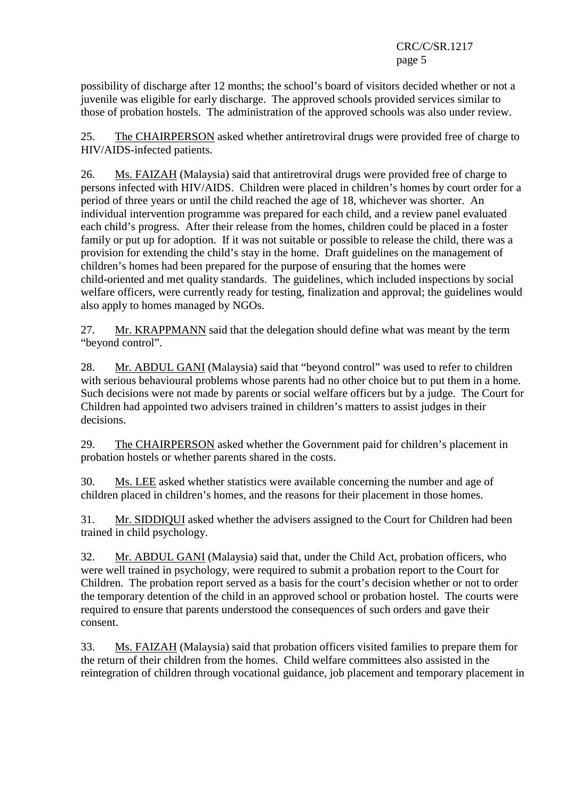possibility of discharge after 12 months; the school's board of visitors decided whether or not a juvenile was eligible for early discharge. The approved schools provided services similar to those of probation hostels. The administration of the approved schools was also under review.

25. The CHAIRPERSON asked whether antiretroviral drugs were provided free of charge to HIV/AIDS-infected patients.

26. Ms. FAIZAH (Malaysia) said that antiretroviral drugs were provided free of charge to persons infected with HIV/AIDS. Children were placed in children's homes by court order for a period of three years or until the child reached the age of 18, whichever was shorter. An individual intervention programme was prepared for each child, and a review panel evaluated each child's progress. After their release from the homes, children could be placed in a foster family or put up for adoption. If it was not suitable or possible to release the child, there was a provision for extending the child's stay in the home. Draft guidelines on the management of children's homes had been prepared for the purpose of ensuring that the homes were child-oriented and met quality standards. The guidelines, which included inspections by social welfare officers, were currently ready for testing, finalization and approval; the guidelines would also apply to homes managed by NGOs.

27. Mr. KRAPPMANN said that the delegation should define what was meant by the term "beyond control".

28. Mr. ABDUL GANI (Malaysia) said that "beyond control" was used to refer to children with serious behavioural problems whose parents had no other choice but to put them in a home. Such decisions were not made by parents or social welfare officers but by a judge. The Court for Children had appointed two advisers trained in children's matters to assist judges in their decisions.

29. The CHAIRPERSON asked whether the Government paid for children's placement in probation hostels or whether parents shared in the costs.

30. Ms. LEE asked whether statistics were available concerning the number and age of children placed in children's homes, and the reasons for their placement in those homes.

31. Mr. SIDDIQUI asked whether the advisers assigned to the Court for Children had been trained in child psychology.

32. Mr. ABDUL GANI (Malaysia) said that, under the Child Act, probation officers, who were well trained in psychology, were required to submit a probation report to the Court for Children. The probation report served as a basis for the court's decision whether or not to order the temporary detention of the child in an approved school or probation hostel. The courts were required to ensure that parents understood the consequences of such orders and gave their consent.

33. Ms. FAIZAH (Malaysia) said that probation officers visited families to prepare them for the return of their children from the homes. Child welfare committees also assisted in the reintegration of children through vocational guidance, job placement and temporary placement in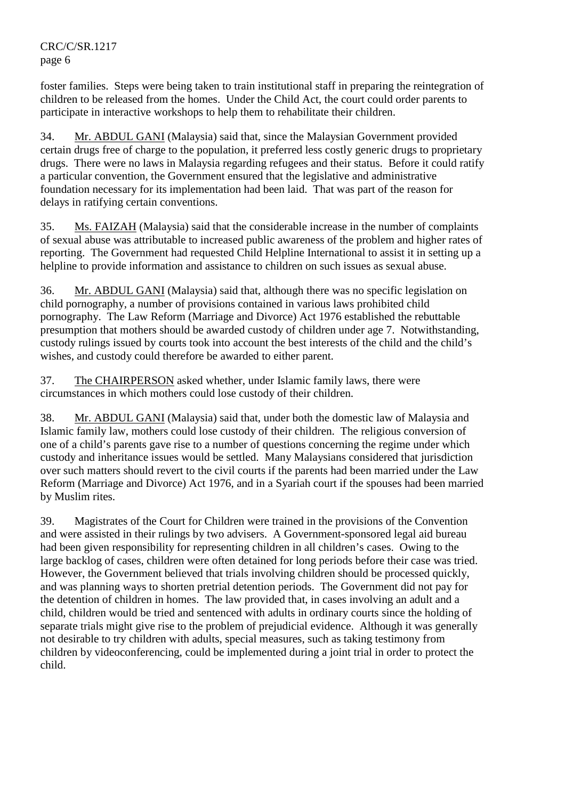foster families. Steps were being taken to train institutional staff in preparing the reintegration of children to be released from the homes. Under the Child Act, the court could order parents to participate in interactive workshops to help them to rehabilitate their children.

34. Mr. ABDUL GANI (Malaysia) said that, since the Malaysian Government provided certain drugs free of charge to the population, it preferred less costly generic drugs to proprietary drugs. There were no laws in Malaysia regarding refugees and their status. Before it could ratify a particular convention, the Government ensured that the legislative and administrative foundation necessary for its implementation had been laid. That was part of the reason for delays in ratifying certain conventions.

35. Ms. FAIZAH (Malaysia) said that the considerable increase in the number of complaints of sexual abuse was attributable to increased public awareness of the problem and higher rates of reporting. The Government had requested Child Helpline International to assist it in setting up a helpline to provide information and assistance to children on such issues as sexual abuse.

36. Mr. ABDUL GANI (Malaysia) said that, although there was no specific legislation on child pornography, a number of provisions contained in various laws prohibited child pornography. The Law Reform (Marriage and Divorce) Act 1976 established the rebuttable presumption that mothers should be awarded custody of children under age 7. Notwithstanding, custody rulings issued by courts took into account the best interests of the child and the child's wishes, and custody could therefore be awarded to either parent.

37. The CHAIRPERSON asked whether, under Islamic family laws, there were circumstances in which mothers could lose custody of their children.

38. Mr. ABDUL GANI (Malaysia) said that, under both the domestic law of Malaysia and Islamic family law, mothers could lose custody of their children. The religious conversion of one of a child's parents gave rise to a number of questions concerning the regime under which custody and inheritance issues would be settled. Many Malaysians considered that jurisdiction over such matters should revert to the civil courts if the parents had been married under the Law Reform (Marriage and Divorce) Act 1976, and in a Syariah court if the spouses had been married by Muslim rites.

39. Magistrates of the Court for Children were trained in the provisions of the Convention and were assisted in their rulings by two advisers. A Government-sponsored legal aid bureau had been given responsibility for representing children in all children's cases. Owing to the large backlog of cases, children were often detained for long periods before their case was tried. However, the Government believed that trials involving children should be processed quickly, and was planning ways to shorten pretrial detention periods. The Government did not pay for the detention of children in homes. The law provided that, in cases involving an adult and a child, children would be tried and sentenced with adults in ordinary courts since the holding of separate trials might give rise to the problem of prejudicial evidence. Although it was generally not desirable to try children with adults, special measures, such as taking testimony from children by videoconferencing, could be implemented during a joint trial in order to protect the child.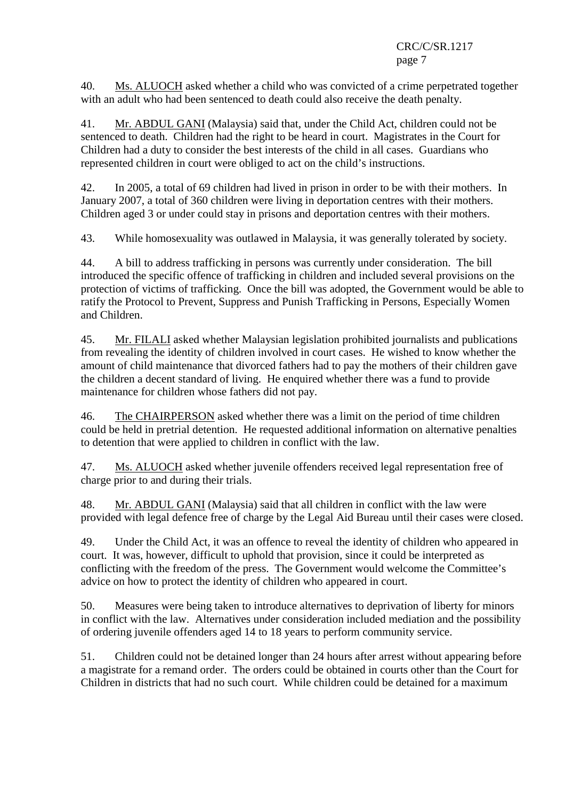40. Ms. ALUOCH asked whether a child who was convicted of a crime perpetrated together with an adult who had been sentenced to death could also receive the death penalty.

41. Mr. ABDUL GANI (Malaysia) said that, under the Child Act, children could not be sentenced to death. Children had the right to be heard in court. Magistrates in the Court for Children had a duty to consider the best interests of the child in all cases. Guardians who represented children in court were obliged to act on the child's instructions.

42. In 2005, a total of 69 children had lived in prison in order to be with their mothers. In January 2007, a total of 360 children were living in deportation centres with their mothers. Children aged 3 or under could stay in prisons and deportation centres with their mothers.

43. While homosexuality was outlawed in Malaysia, it was generally tolerated by society.

44. A bill to address trafficking in persons was currently under consideration. The bill introduced the specific offence of trafficking in children and included several provisions on the protection of victims of trafficking. Once the bill was adopted, the Government would be able to ratify the Protocol to Prevent, Suppress and Punish Trafficking in Persons, Especially Women and Children.

45. Mr. FILALI asked whether Malaysian legislation prohibited journalists and publications from revealing the identity of children involved in court cases. He wished to know whether the amount of child maintenance that divorced fathers had to pay the mothers of their children gave the children a decent standard of living. He enquired whether there was a fund to provide maintenance for children whose fathers did not pay.

46. The CHAIRPERSON asked whether there was a limit on the period of time children could be held in pretrial detention. He requested additional information on alternative penalties to detention that were applied to children in conflict with the law.

47. Ms. ALUOCH asked whether juvenile offenders received legal representation free of charge prior to and during their trials.

48. Mr. ABDUL GANI (Malaysia) said that all children in conflict with the law were provided with legal defence free of charge by the Legal Aid Bureau until their cases were closed.

49. Under the Child Act, it was an offence to reveal the identity of children who appeared in court. It was, however, difficult to uphold that provision, since it could be interpreted as conflicting with the freedom of the press. The Government would welcome the Committee's advice on how to protect the identity of children who appeared in court.

50. Measures were being taken to introduce alternatives to deprivation of liberty for minors in conflict with the law. Alternatives under consideration included mediation and the possibility of ordering juvenile offenders aged 14 to 18 years to perform community service.

51. Children could not be detained longer than 24 hours after arrest without appearing before a magistrate for a remand order. The orders could be obtained in courts other than the Court for Children in districts that had no such court. While children could be detained for a maximum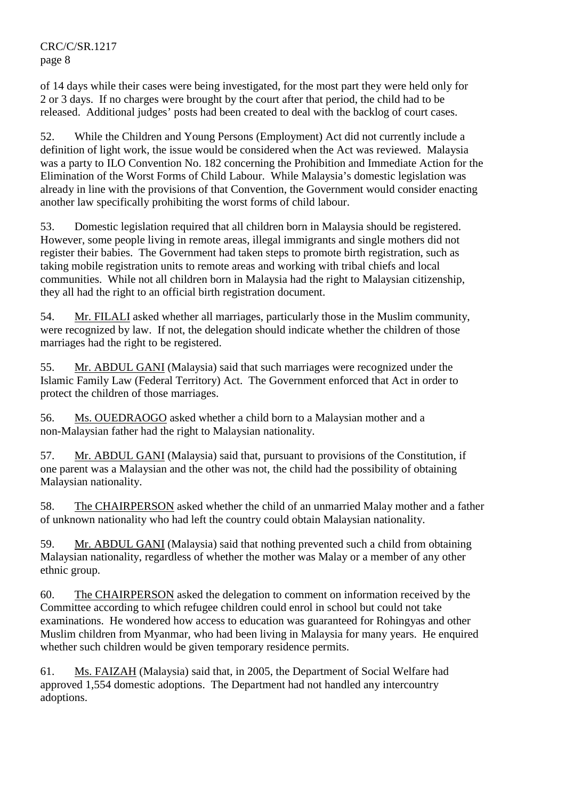of 14 days while their cases were being investigated, for the most part they were held only for 2 or 3 days. If no charges were brought by the court after that period, the child had to be released. Additional judges' posts had been created to deal with the backlog of court cases.

52. While the Children and Young Persons (Employment) Act did not currently include a definition of light work, the issue would be considered when the Act was reviewed. Malaysia was a party to ILO Convention No. 182 concerning the Prohibition and Immediate Action for the Elimination of the Worst Forms of Child Labour. While Malaysia's domestic legislation was already in line with the provisions of that Convention, the Government would consider enacting another law specifically prohibiting the worst forms of child labour.

53. Domestic legislation required that all children born in Malaysia should be registered. However, some people living in remote areas, illegal immigrants and single mothers did not register their babies. The Government had taken steps to promote birth registration, such as taking mobile registration units to remote areas and working with tribal chiefs and local communities. While not all children born in Malaysia had the right to Malaysian citizenship, they all had the right to an official birth registration document.

54. Mr. FILALI asked whether all marriages, particularly those in the Muslim community, were recognized by law. If not, the delegation should indicate whether the children of those marriages had the right to be registered.

55. Mr. ABDUL GANI (Malaysia) said that such marriages were recognized under the Islamic Family Law (Federal Territory) Act. The Government enforced that Act in order to protect the children of those marriages.

56. Ms. OUEDRAOGO asked whether a child born to a Malaysian mother and a non-Malaysian father had the right to Malaysian nationality.

57. Mr. ABDUL GANI (Malaysia) said that, pursuant to provisions of the Constitution, if one parent was a Malaysian and the other was not, the child had the possibility of obtaining Malaysian nationality.

58. The CHAIRPERSON asked whether the child of an unmarried Malay mother and a father of unknown nationality who had left the country could obtain Malaysian nationality.

59. Mr. ABDUL GANI (Malaysia) said that nothing prevented such a child from obtaining Malaysian nationality, regardless of whether the mother was Malay or a member of any other ethnic group.

60. The CHAIRPERSON asked the delegation to comment on information received by the Committee according to which refugee children could enrol in school but could not take examinations. He wondered how access to education was guaranteed for Rohingyas and other Muslim children from Myanmar, who had been living in Malaysia for many years. He enquired whether such children would be given temporary residence permits.

61. Ms. FAIZAH (Malaysia) said that, in 2005, the Department of Social Welfare had approved 1,554 domestic adoptions. The Department had not handled any intercountry adoptions.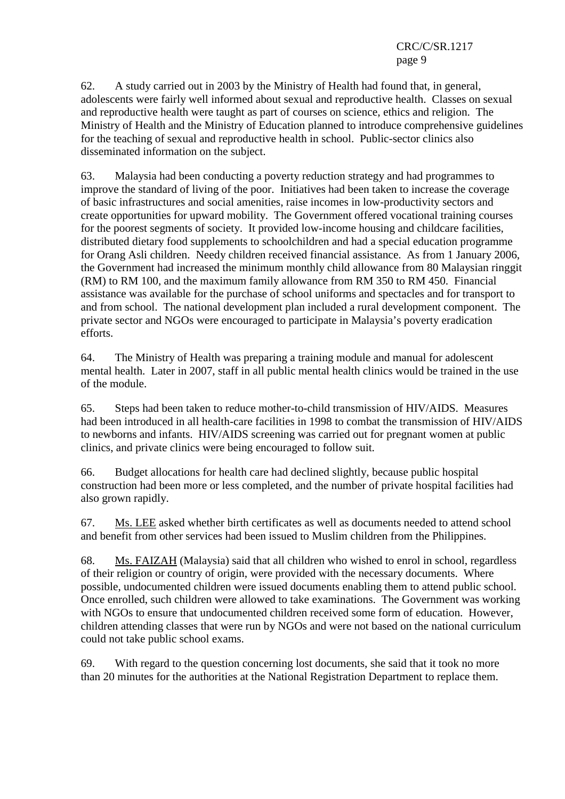62. A study carried out in 2003 by the Ministry of Health had found that, in general, adolescents were fairly well informed about sexual and reproductive health. Classes on sexual and reproductive health were taught as part of courses on science, ethics and religion. The Ministry of Health and the Ministry of Education planned to introduce comprehensive guidelines for the teaching of sexual and reproductive health in school. Public-sector clinics also disseminated information on the subject.

63. Malaysia had been conducting a poverty reduction strategy and had programmes to improve the standard of living of the poor. Initiatives had been taken to increase the coverage of basic infrastructures and social amenities, raise incomes in low-productivity sectors and create opportunities for upward mobility. The Government offered vocational training courses for the poorest segments of society. It provided low-income housing and childcare facilities, distributed dietary food supplements to schoolchildren and had a special education programme for Orang Asli children. Needy children received financial assistance. As from 1 January 2006, the Government had increased the minimum monthly child allowance from 80 Malaysian ringgit (RM) to RM 100, and the maximum family allowance from RM 350 to RM 450. Financial assistance was available for the purchase of school uniforms and spectacles and for transport to and from school. The national development plan included a rural development component. The private sector and NGOs were encouraged to participate in Malaysia's poverty eradication efforts.

64. The Ministry of Health was preparing a training module and manual for adolescent mental health. Later in 2007, staff in all public mental health clinics would be trained in the use of the module.

65. Steps had been taken to reduce mother-to-child transmission of HIV/AIDS. Measures had been introduced in all health-care facilities in 1998 to combat the transmission of HIV/AIDS to newborns and infants. HIV/AIDS screening was carried out for pregnant women at public clinics, and private clinics were being encouraged to follow suit.

66. Budget allocations for health care had declined slightly, because public hospital construction had been more or less completed, and the number of private hospital facilities had also grown rapidly.

67. Ms. LEE asked whether birth certificates as well as documents needed to attend school and benefit from other services had been issued to Muslim children from the Philippines.

68. Ms. FAIZAH (Malaysia) said that all children who wished to enrol in school, regardless of their religion or country of origin, were provided with the necessary documents. Where possible, undocumented children were issued documents enabling them to attend public school. Once enrolled, such children were allowed to take examinations. The Government was working with NGOs to ensure that undocumented children received some form of education. However, children attending classes that were run by NGOs and were not based on the national curriculum could not take public school exams.

69. With regard to the question concerning lost documents, she said that it took no more than 20 minutes for the authorities at the National Registration Department to replace them.